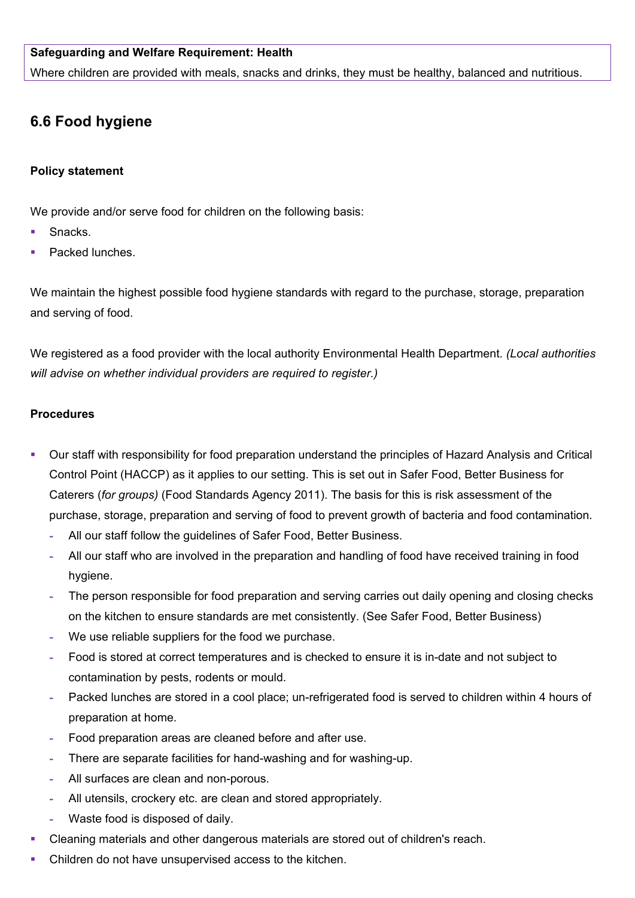## **Safeguarding and Welfare Requirement: Health**

Where children are provided with meals, snacks and drinks, they must be healthy, balanced and nutritious.

# **6.6 Food hygiene**

#### **Policy statement**

We provide and/or serve food for children on the following basis:

- Snacks.
- Packed lunches.

We maintain the highest possible food hygiene standards with regard to the purchase, storage, preparation and serving of food.

We registered as a food provider with the local authority Environmental Health Department. *(Local authorities will advise on whether individual providers are required to register.)*

## **Procedures**

- Our staff with responsibility for food preparation understand the principles of Hazard Analysis and Critical Control Point (HACCP) as it applies to our setting. This is set out in Safer Food, Better Business for Caterers (*for groups)* (Food Standards Agency 2011). The basis for this is risk assessment of the purchase, storage, preparation and serving of food to prevent growth of bacteria and food contamination.
	- **-** All our staff follow the guidelines of Safer Food, Better Business.
	- **-** All our staff who are involved in the preparation and handling of food have received training in food hygiene.
	- **-** The person responsible for food preparation and serving carries out daily opening and closing checks on the kitchen to ensure standards are met consistently. (See Safer Food, Better Business)
	- **-** We use reliable suppliers for the food we purchase.
	- **-** Food is stored at correct temperatures and is checked to ensure it is in-date and not subject to contamination by pests, rodents or mould.
	- **-** Packed lunches are stored in a cool place; un-refrigerated food is served to children within 4 hours of preparation at home.
	- **-** Food preparation areas are cleaned before and after use.
	- **-** There are separate facilities for hand-washing and for washing-up.
	- **-** All surfaces are clean and non-porous.
	- **-** All utensils, crockery etc. are clean and stored appropriately.
	- **-** Waste food is disposed of daily.
- Cleaning materials and other dangerous materials are stored out of children's reach.
- Children do not have unsupervised access to the kitchen.